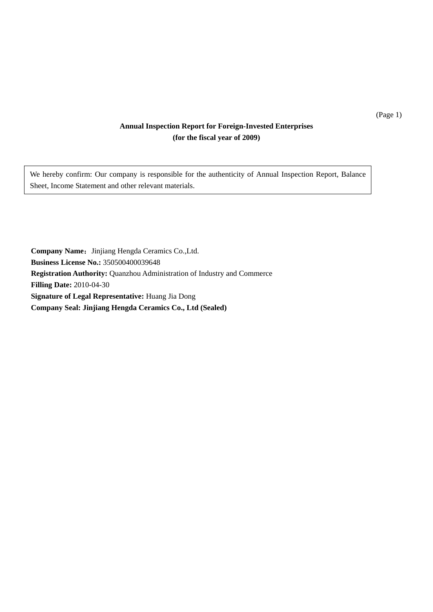### **Annual Inspection Report for Foreign-Invested Enterprises (for the fiscal year of 2009)**

We hereby confirm: Our company is responsible for the authenticity of Annual Inspection Report, Balance Sheet, Income Statement and other relevant materials.

**Company Name:** Jinjiang Hengda Ceramics Co.,Ltd. **Business License No.:** 350500400039648 **Registration Authority:** Quanzhou Administration of Industry and Commerce **Filling Date:** 2010-04-30 **Signature of Legal Representative:** Huang Jia Dong **Company Seal: Jinjiang Hengda Ceramics Co., Ltd (Sealed)** 

(Page 1)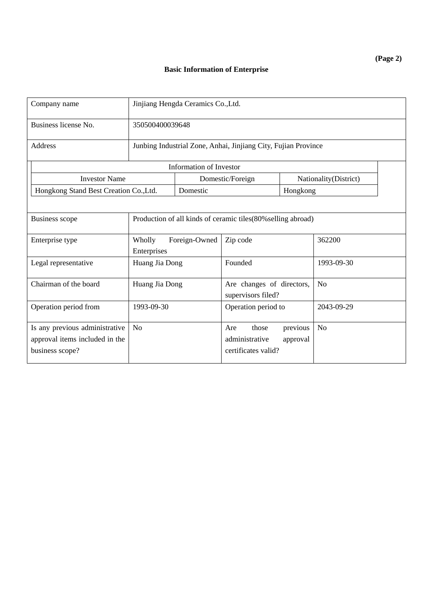| Company name                                                                        |                                                                | Jinjiang Hengda Ceramics Co., Ltd.                            |                                                 |                                             |                |  |  |  |
|-------------------------------------------------------------------------------------|----------------------------------------------------------------|---------------------------------------------------------------|-------------------------------------------------|---------------------------------------------|----------------|--|--|--|
| Business license No.                                                                |                                                                | 350500400039648                                               |                                                 |                                             |                |  |  |  |
| <b>Address</b>                                                                      | Junbing Industrial Zone, Anhai, Jinjiang City, Fujian Province |                                                               |                                                 |                                             |                |  |  |  |
|                                                                                     |                                                                | <b>Information of Investor</b>                                |                                                 |                                             |                |  |  |  |
| <b>Investor Name</b>                                                                | Nationality(District)<br>Domestic/Foreign                      |                                                               |                                                 |                                             |                |  |  |  |
| Hongkong Stand Best Creation Co., Ltd.                                              |                                                                | Domestic                                                      |                                                 | Hongkong                                    |                |  |  |  |
|                                                                                     |                                                                |                                                               |                                                 |                                             |                |  |  |  |
| <b>Business scope</b>                                                               |                                                                | Production of all kinds of ceramic tiles (80% selling abroad) |                                                 |                                             |                |  |  |  |
| Enterprise type                                                                     | Foreign-Owned<br>Wholly<br>Enterprises                         |                                                               | Zip code                                        |                                             | 362200         |  |  |  |
| Legal representative                                                                | Huang Jia Dong                                                 |                                                               | Founded                                         |                                             | 1993-09-30     |  |  |  |
| Chairman of the board                                                               | Huang Jia Dong                                                 |                                                               | Are changes of directors,<br>supervisors filed? |                                             | N <sub>o</sub> |  |  |  |
| Operation period from                                                               | 1993-09-30                                                     |                                                               | Operation period to                             |                                             | 2043-09-29     |  |  |  |
| Is any previous administrative<br>approval items included in the<br>business scope? | N <sub>0</sub>                                                 |                                                               |                                                 | previous<br>approval<br>certificates valid? | N <sub>o</sub> |  |  |  |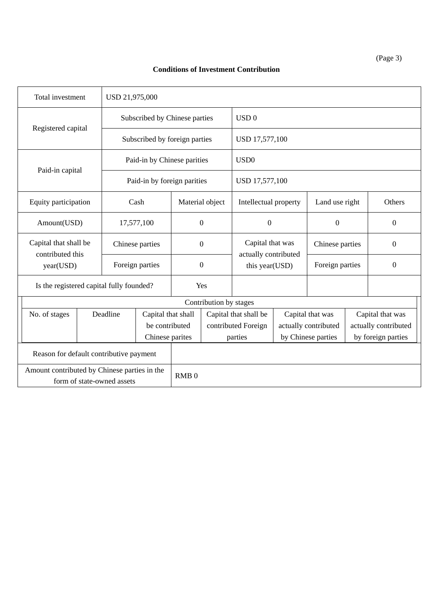#### **Conditions of Investment Contribution**

| Total investment                                                           |                 |                             | USD 21,975,000                |                  |                                    |                                        |                 |                      |        |                      |  |
|----------------------------------------------------------------------------|-----------------|-----------------------------|-------------------------------|------------------|------------------------------------|----------------------------------------|-----------------|----------------------|--------|----------------------|--|
|                                                                            |                 |                             | Subscribed by Chinese parties |                  |                                    | USD <sub>0</sub>                       |                 |                      |        |                      |  |
| Registered capital                                                         |                 |                             | Subscribed by foreign parties |                  |                                    | USD 17,577,100                         |                 |                      |        |                      |  |
| Paid-in by Chinese parities                                                |                 |                             |                               | USD <sub>0</sub> |                                    |                                        |                 |                      |        |                      |  |
| Paid-in capital                                                            |                 | Paid-in by foreign parities |                               |                  | USD 17,577,100                     |                                        |                 |                      |        |                      |  |
| Equity participation                                                       |                 |                             | Cash                          |                  | Material object                    | Intellectual property                  | Land use right  |                      | Others |                      |  |
| Amount(USD)                                                                |                 |                             | 17,577,100                    |                  | $\Omega$                           | $\boldsymbol{0}$                       |                 | $\Omega$             |        | $\Omega$             |  |
| Capital that shall be<br>contributed this                                  |                 |                             | Chinese parties               |                  | Capital that was<br>$\overline{0}$ |                                        |                 | Chinese parties      |        | $\overline{0}$       |  |
| year(USD)                                                                  |                 |                             | Foreign parties               |                  | $\boldsymbol{0}$                   | actually contributed<br>this year(USD) | Foreign parties |                      |        | $\overline{0}$       |  |
| Is the registered capital fully founded?                                   |                 |                             |                               |                  | Yes                                |                                        |                 |                      |        |                      |  |
|                                                                            |                 |                             |                               |                  | Contribution by stages             |                                        |                 |                      |        |                      |  |
| No. of stages                                                              |                 | Deadline                    | Capital that shall            |                  |                                    | Capital that shall be                  |                 | Capital that was     |        | Capital that was     |  |
|                                                                            |                 |                             | be contributed                |                  |                                    | contributed Foreign                    |                 | actually contributed |        | actually contributed |  |
|                                                                            | Chinese parites |                             |                               | parties          |                                    | by Chinese parties                     |                 | by foreign parties   |        |                      |  |
| Reason for default contributive payment                                    |                 |                             |                               |                  |                                    |                                        |                 |                      |        |                      |  |
| Amount contributed by Chinese parties in the<br>form of state-owned assets |                 |                             | RMB <sub>0</sub>              |                  |                                    |                                        |                 |                      |        |                      |  |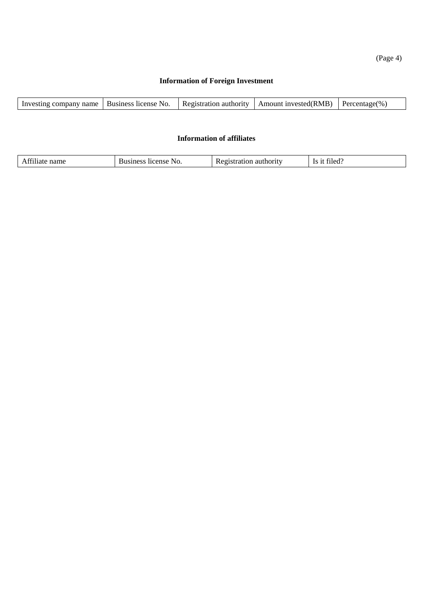(Page 4)

### **Information of Foreign Investment**

| Investing company name | Business license No. | Registration authority | Amount invested(RMB) | Percentage $(\%$ , |
|------------------------|----------------------|------------------------|----------------------|--------------------|
|                        |                      |                        |                      |                    |

#### **Information of affiliates**

| 0.011<br>™u.<br>101<br>к.<br>,,,,<br>.<br>м<br>' INL. |
|-------------------------------------------------------|
|-------------------------------------------------------|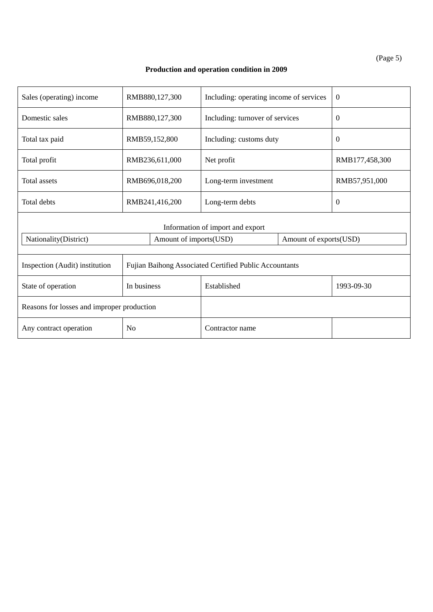(Page 5)

## **Production and operation condition in 2009**

| Sales (operating) income                   | RMB880,127,300 |                        | Including: operating income of services                |  | $\theta$       |  |
|--------------------------------------------|----------------|------------------------|--------------------------------------------------------|--|----------------|--|
| Domestic sales                             | RMB880,127,300 |                        | Including: turnover of services                        |  | $\overline{0}$ |  |
| Total tax paid                             | RMB59,152,800  |                        | Including: customs duty                                |  | $\overline{0}$ |  |
| Total profit                               | RMB236,611,000 |                        | Net profit                                             |  | RMB177,458,300 |  |
| Total assets                               | RMB696,018,200 |                        | Long-term investment                                   |  | RMB57,951,000  |  |
| Total debts                                | RMB241,416,200 |                        | Long-term debts                                        |  | $\Omega$       |  |
|                                            |                |                        | Information of import and export                       |  |                |  |
| Nationality(District)                      |                | Amount of imports(USD) | Amount of exports(USD)                                 |  |                |  |
| Inspection (Audit) institution             |                |                        | Fujian Baihong Associated Certified Public Accountants |  |                |  |
| State of operation                         | In business    |                        | Established                                            |  | 1993-09-30     |  |
| Reasons for losses and improper production |                |                        |                                                        |  |                |  |
| Any contract operation                     | N <sub>0</sub> |                        | Contractor name                                        |  |                |  |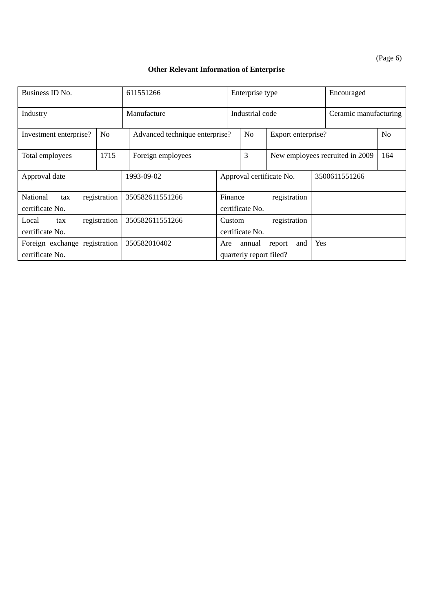(Page 6)

## **Other Relevant Information of Enterprise**

| Business ID No.                                  | 611551266      |                                                              |                                            | Enterprise type                   |                          |                                        | Encouraged    |                |
|--------------------------------------------------|----------------|--------------------------------------------------------------|--------------------------------------------|-----------------------------------|--------------------------|----------------------------------------|---------------|----------------|
| Industry                                         |                | Manufacture<br>Industrial code                               |                                            |                                   |                          | Ceramic manufacturing                  |               |                |
| Investment enterprise?                           | N <sub>o</sub> | Advanced technique enterprise?                               |                                            | N <sub>0</sub>                    | Export enterprise?       |                                        |               | N <sub>o</sub> |
| Total employees                                  | 1715           | Foreign employees                                            |                                            | 3                                 |                          | New employees recruited in 2009<br>164 |               |                |
| Approval date                                    |                | 1993-09-02                                                   |                                            |                                   | Approval certificate No. |                                        | 3500611551266 |                |
| National<br>tax<br>certificate No.               | registration   | 350582611551266                                              | Finance<br>registration<br>certificate No. |                                   |                          |                                        |               |                |
| Local<br>tax<br>certificate No.                  | registration   | 350582611551266<br>registration<br>Custom<br>certificate No. |                                            |                                   |                          |                                        |               |                |
| Foreign exchange registration<br>certificate No. |                | 350582010402                                                 | Are                                        | annual<br>quarterly report filed? | and<br>report            | Yes                                    |               |                |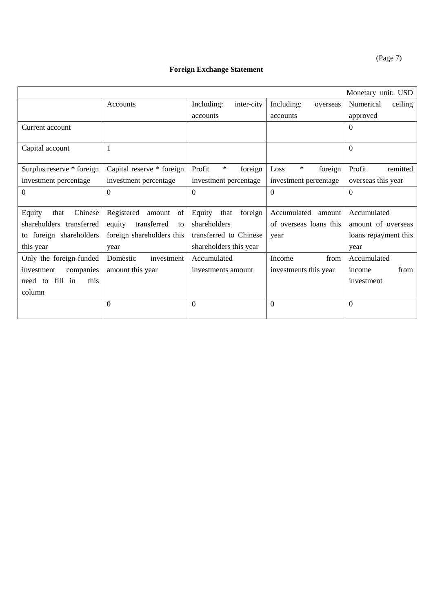(Page 7)

## **Foreign Exchange Statement**

|                            |                             |                             |                        | Monetary unit: USD   |
|----------------------------|-----------------------------|-----------------------------|------------------------|----------------------|
|                            | <b>Accounts</b>             | Including:<br>inter-city    | Including:<br>overseas | Numerical<br>ceiling |
|                            |                             | accounts                    | accounts               | approved             |
| Current account            |                             |                             |                        | $\Omega$             |
|                            |                             |                             |                        |                      |
| Capital account            | 1                           |                             |                        | $\overline{0}$       |
|                            |                             |                             |                        |                      |
| Surplus reserve * foreign  | Capital reserve * foreign   | $\ast$<br>Profit<br>foreign | *<br>Loss<br>foreign   | Profit<br>remitted   |
| investment percentage      | investment percentage       | investment percentage       | investment percentage  | overseas this year   |
| $\Omega$                   | $\Omega$                    | $\Omega$                    | $\Omega$               | $\Omega$             |
|                            |                             |                             |                        |                      |
| Chinese<br>Equity<br>that  | Registered<br>amount<br>of  | Equity<br>foreign<br>that   | Accumulated<br>amount  | Accumulated          |
| shareholders transferred   | transferred<br>equity<br>to | shareholders                | of overseas loans this | amount of overseas   |
| foreign shareholders<br>to | foreign shareholders this   | transferred to Chinese      | year                   | loans repayment this |
| this year                  | year                        | shareholders this year      |                        | year                 |
| Only the foreign-funded    | Domestic<br>investment      | Accumulated                 | from<br>Income         | Accumulated          |
| companies<br>investment    | amount this year            | investments amount          | investments this year  | from<br>income       |
| fill in<br>this<br>need to |                             |                             |                        | investment           |
| column                     |                             |                             |                        |                      |
|                            | $\theta$                    | $\Omega$                    | $\Omega$               | $\Omega$             |
|                            |                             |                             |                        |                      |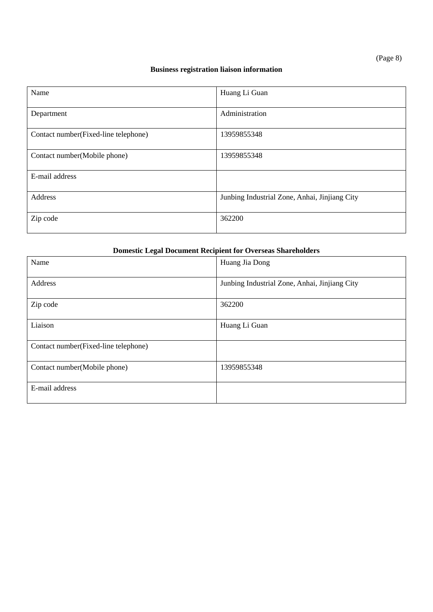## **Business registration liaison information**

| Name                                 | Huang Li Guan                                 |
|--------------------------------------|-----------------------------------------------|
|                                      |                                               |
|                                      |                                               |
| Department                           | Administration                                |
|                                      |                                               |
| Contact number(Fixed-line telephone) | 13959855348                                   |
|                                      |                                               |
|                                      |                                               |
| Contact number(Mobile phone)         | 13959855348                                   |
|                                      |                                               |
| E-mail address                       |                                               |
|                                      |                                               |
|                                      |                                               |
| Address                              | Junbing Industrial Zone, Anhai, Jinjiang City |
|                                      |                                               |
| Zip code                             | 362200                                        |
|                                      |                                               |
|                                      |                                               |

### **Domestic Legal Document Recipient for Overseas Shareholders**

| Name                                 | Huang Jia Dong                                |
|--------------------------------------|-----------------------------------------------|
| Address                              | Junbing Industrial Zone, Anhai, Jinjiang City |
| Zip code                             | 362200                                        |
| Liaison                              | Huang Li Guan                                 |
| Contact number(Fixed-line telephone) |                                               |
| Contact number(Mobile phone)         | 13959855348                                   |
| E-mail address                       |                                               |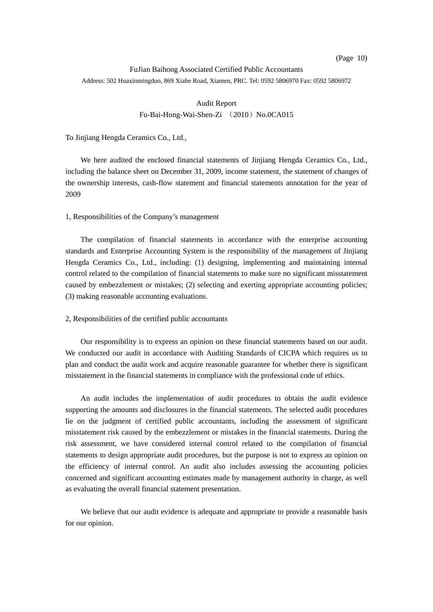#### FuJian Baihong Associated Certified Public Accountants Address: 502 Huaxinmingduo, 869 Xiahe Road, Xiamen, PRC. Tel: 0592 5806970 Fax: 0592 5806972

#### Audit Report Fu-Bai-Hong-Wai-Shen-Zi (2010) No.0CA015

#### To Jinjiang Hengda Ceramics Co., Ltd.,

 We here audited the enclosed financial statements of Jinjiang Hengda Ceramics Co., Ltd., including the balance sheet on December 31, 2009, income statement, the statement of changes of the ownership interests, cash-flow statement and financial statements annotation for the year of 2009

#### 1, Responsibilities of the Company's management

The compilation of financial statements in accordance with the enterprise accounting standards and Enterprise Accounting System is the responsibility of the management of Jinjiang Hengda Ceramics Co., Ltd., including: (1) designing, implementing and maintaining internal control related to the compilation of financial statements to make sure no significant misstatement caused by embezzlement or mistakes; (2) selecting and exerting appropriate accounting policies; (3) making reasonable accounting evaluations.

#### 2, Responsibilities of the certified public accountants

Our responsibility is to express an opinion on these financial statements based on our audit. We conducted our audit in accordance with Auditing Standards of CICPA which requires us to plan and conduct the audit work and acquire reasonable guarantee for whether there is significant misstatement in the financial statements in compliance with the professional code of ethics.

An audit includes the implementation of audit procedures to obtain the audit evidence supporting the amounts and disclosures in the financial statements. The selected audit procedures lie on the judgment of certified public accountants, including the assessment of significant misstatement risk caused by the embezzlement or mistakes in the financial statements. During the risk assessment, we have considered internal control related to the compilation of financial statements to design appropriate audit procedures, but the purpose is not to express an opinion on the efficiency of internal control. An audit also includes assessing the accounting policies concerned and significant accounting estimates made by management authority in charge, as well as evaluating the overall financial statement presentation.

We believe that our audit evidence is adequate and appropriate to provide a reasonable basis for our opinion.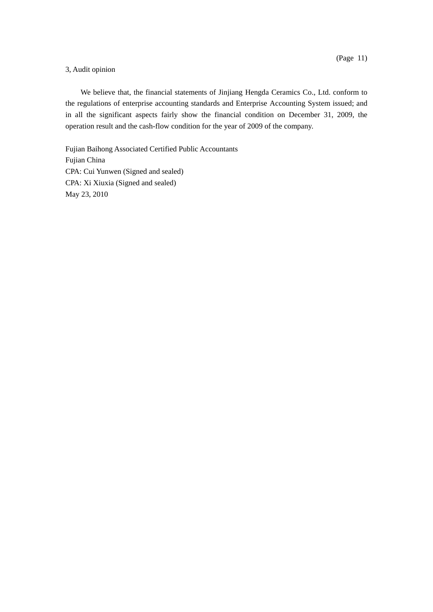#### 3, Audit opinion

We believe that, the financial statements of Jinjiang Hengda Ceramics Co., Ltd. conform to the regulations of enterprise accounting standards and Enterprise Accounting System issued; and in all the significant aspects fairly show the financial condition on December 31, 2009, the operation result and the cash-flow condition for the year of 2009 of the company.

Fujian Baihong Associated Certified Public Accountants Fujian China CPA: Cui Yunwen (Signed and sealed) CPA: Xi Xiuxia (Signed and sealed) May 23, 2010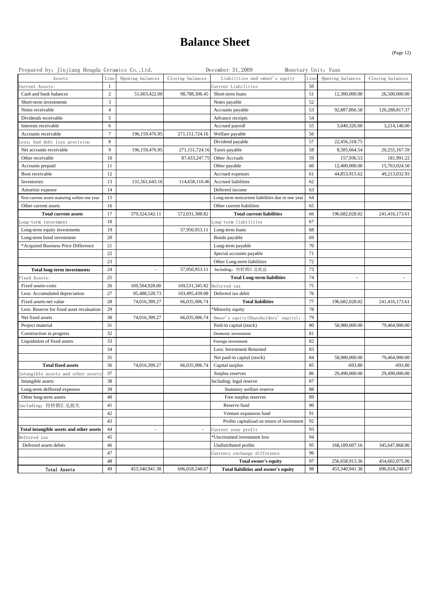## **Balance Sheet**

(Page 12)

| Prepared by: Jinjiang Hengda Ceramics Co., Ltd. |                |                          |                  | December 31, 2009                                |      | Monetary Unit: Yuan      |                          |
|-------------------------------------------------|----------------|--------------------------|------------------|--------------------------------------------------|------|--------------------------|--------------------------|
| Assets                                          | Line           | Opening balances         | Closing balances | Liabilities and owner's equity                   | Line | Opening balances         | Closing balances         |
| Current Assets:                                 | -1             |                          |                  | Current Liabilities                              | 50   |                          |                          |
| Cash and bank balances                          | 2              | 51,603,422.00            | 98,788,306.45    | Short-term loans                                 | 51   | 12,300,000.00            | 26,500,000.00            |
| Short-term investments                          | 3              |                          |                  | Notes payable                                    | 52   |                          |                          |
| Notes receivable                                | $\overline{4}$ |                          |                  | Accounts payable                                 | 53   | 92,887,866.58            | 126,288,817.37           |
| Dividends receivable                            | 5              |                          |                  | Advance receipts                                 | 54   |                          |                          |
| Interests receivable                            | 6              |                          |                  | Accrued payroll                                  | 55   | 3,040,326.00             | 3,214,140.00             |
| Accounts receivable                             | $\tau$         | 196,159,476.95           | 271,151,724.16   | Welfare payable                                  | 56   |                          |                          |
| ess; bad debt loss provision                    | 8              |                          |                  | Dividend payable                                 | 57   | 22,456,318.75            |                          |
| Net accounts receivable                         | 9              | 196,159,476.95           | 271,151,724.16   | Taxes payable                                    | 58   | 8,585,664.54             | 20,255,167.59            |
| Other receivable                                | 10             |                          | 87,433,247.75    | Other Accruals                                   | 59   | 157,936.53               | 181,991.22               |
| Accounts prepaid                                | 11             |                          |                  | Other payable                                    | 60   | 12,400,000.00            | 15,763,024.50            |
| Boot receivable                                 | 12             |                          |                  | Accrued expenses                                 | 61   | 44,853,915.62            | 49,213,032.93            |
| Inventories                                     | 13             | 131,561,643.16           | 114,658,110.46   | Accrued liabilities                              | 62   |                          |                          |
| Amortize expense                                | 14             |                          |                  | Deferred income                                  | 63   |                          |                          |
| Non-current assets maturing within one year     | 15             |                          |                  | Long-term noncurrent liabilities due in one year | 64   |                          |                          |
| Other current assets                            | 16             |                          |                  | Other current liabilities                        | 65   |                          |                          |
| <b>Total current assets</b>                     | 17             | 379,324,542.11           | 572,031,388.82   | <b>Total current liabilities</b>                 | 66   | 196,682,028.02           | 241,416,173.61           |
| Long-term investment                            | 18             |                          |                  | Long-term liabilities                            | 67   |                          |                          |
| Long-term equity investments                    | 19             |                          | 57,950,953.11    | Long-term loans                                  | 68   |                          |                          |
| Long-term bond investment                       | 20             |                          |                  | Bonds payable                                    | 69   |                          |                          |
| *Acquired Business Price Difference             | 21             |                          |                  | Long-term payable                                | 70   |                          |                          |
|                                                 | 22             |                          |                  | Special accounts payable                         | 71   |                          |                          |
|                                                 | 23             |                          |                  | Other Long-term liabilities                      | 72   |                          |                          |
| <b>Total long-term investments</b>              | 24             | $\overline{\phantom{a}}$ | 57,950,953.11    | Including: 待转销汇兑收益                               | 73   |                          |                          |
| Fixed Assets:                                   | 25             |                          |                  | <b>Total Long-term liabilities</b>               | 74   | $\overline{\phantom{a}}$ | $\overline{\phantom{a}}$ |
| Fixed assets-costs                              | 26             | 169,504,928.00           | 169,531,345.82   | Deferred tax                                     | 75   |                          |                          |
| Less: Accumulated depreciation                  | 27             | 95,488,528.73            | 103,495,439.08   | Deferred tax debit                               | 76   |                          |                          |
| Fixed assets-net value                          | 28             | 74,016,399.27            | 66,035,906.74    | <b>Total liabilities</b>                         | 77   | 196,682,028.02           | 241,416,173.61           |
| Less: Reserve for fixed asset revaluation       | 29             |                          |                  | *Minority equity                                 | 78   |                          |                          |
| Net fixed assets                                | 30             | 74,016,399.27            | 66,035,906.74    | Owner's equity (Shareholders' equity):           | 79   |                          |                          |
| Project material                                | 31             |                          |                  | Paid-in capital (stock)                          | 80   | 58,980,000.00            | 79,464,900.00            |
| Construction in progress                        | 32             |                          |                  | Domestic investment                              | 81   |                          |                          |
| Liquidation of fixed assets                     | 33             |                          |                  | Foreign investment                               | 82   |                          |                          |
|                                                 | 34             |                          |                  | Less: Investment Returned                        | 83   |                          |                          |
|                                                 | 35             |                          |                  | Net paid-in capital (stock)                      | 84   | 58,980,000.00            | 79,464,900.00            |
| <b>Total fixed assets</b>                       | 36             | 74,016,399.27            | 66,035,906.74    | Capital surplus                                  | 85   | $-693.80$                | $-693.80$                |
| Intangible assets and other assets              | 37             |                          |                  | Surplus reserves                                 | 86   | 29,490,000.00            | 29,490,000.00            |
| Intangible assets                               | 38             |                          |                  | Including: legal reserve                         | 87   |                          |                          |
| Long-term defferred expenses                    | 39             |                          |                  | Statutory welfare reserve                        | 88   |                          |                          |
| Other long-term assets                          | 40             |                          |                  | Free surplus reserves                            | 89   |                          |                          |
| Including: 待转销汇兑损失                              | 41             |                          |                  | Reserve fund                                     | 90   |                          |                          |
|                                                 | 42             |                          |                  | Venture expansion fund                           | 91   |                          |                          |
|                                                 | 43             |                          |                  | Profits capitalizad on return of investment      | 92   |                          |                          |
| Total intangible assets and other assets        | 44             | ÷,                       | $\sim$           | Current year profit                              | 93   |                          |                          |
| Deferred tax                                    | 45             |                          |                  | Uncertained investment loss                      | 94   |                          |                          |
| Deferred assets debits                          | 46             |                          |                  | Undistributed profits                            | 95   | 168,189,607.16           | 345,647,868.86           |
|                                                 | 47             |                          |                  | Currency exchange difference                     | 96   |                          |                          |
|                                                 | 48             |                          |                  | Total owner's equity                             | 97   | 256,658,913.36           | 454,602,075.06           |
| Total Assets                                    | 49             | 453,340,941.38           | 696,018,248.67   | Total liabilities and owner's equity             | 98   | 453,340,941.38           | 696,018,248.67           |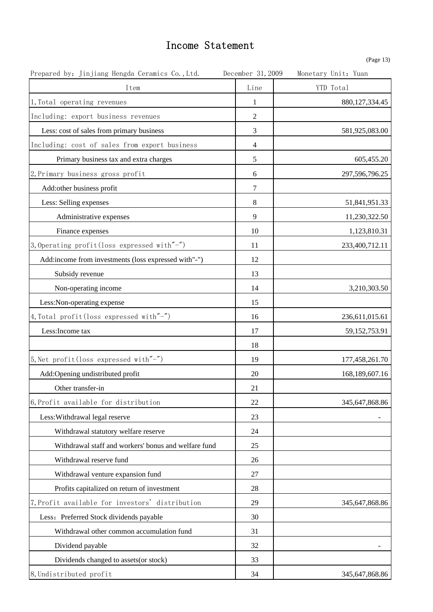## Income Statement

| Ряσ |  |
|-----|--|
|     |  |

| Prepared by: Jinjiang Hengda Ceramics Co., Ltd.      | December 31, 2009 | Monetary Unit: Yuan |
|------------------------------------------------------|-------------------|---------------------|
| Item                                                 | Line              | YTD Total           |
| 1, Total operating revenues                          | 1                 | 880, 127, 334. 45   |
| Including: export business revenues                  | $\sqrt{2}$        |                     |
| Less: cost of sales from primary business            | 3                 | 581,925,083.00      |
| Including: cost of sales from export business        | $\overline{4}$    |                     |
| Primary business tax and extra charges               | 5                 | 605,455.20          |
| 2, Primary business gross profit                     | 6                 | 297,596,796.25      |
| Add:other business profit                            | 7                 |                     |
| Less: Selling expenses                               | $\,8\,$           | 51,841,951.33       |
| Administrative expenses                              | 9                 | 11,230,322.50       |
| Finance expenses                                     | 10                | 1,123,810.31        |
| 3, Operating profit (loss expressed with"-")         | 11                | 233,400,712.11      |
| Add:income from investments (loss expressed with"-") | 12                |                     |
| Subsidy revenue                                      | 13                |                     |
| Non-operating income                                 | 14                | 3,210,303.50        |
| Less: Non-operating expense                          | 15                |                     |
| 4, Total profit (loss expressed with"-")             | 16                | 236,611,015.61      |
| Less: Income tax                                     | 17                | 59, 152, 753. 91    |
|                                                      | 18                |                     |
| 5, Net profit (loss expressed with"-")               | 19                | 177,458,261.70      |
| Add:Opening undistributed profit                     | 20                | 168,189,607.16      |
| Other transfer-in                                    | 21                |                     |
| 6, Profit available for distribution                 | 22                | 345,647,868.86      |
| Less: Withdrawal legal reserve                       | 23                |                     |
| Withdrawal statutory welfare reserve                 | 24                |                     |
| Withdrawal staff and workers' bonus and welfare fund | 25                |                     |
| Withdrawal reserve fund                              | 26                |                     |
| Withdrawal venture expansion fund                    | 27                |                     |
| Profits capitalized on return of investment          | 28                |                     |
| 7, Profit available for investors' distribution      | 29                | 345,647,868.86      |
| Less: Preferred Stock dividends payable              | 30                |                     |
| Withdrawal other common accumulation fund            | 31                |                     |
| Dividend payable                                     | 32                |                     |
| Dividends changed to assets(or stock)                | 33                |                     |
| 8, Undistributed profit                              | 34                | 345,647,868.86      |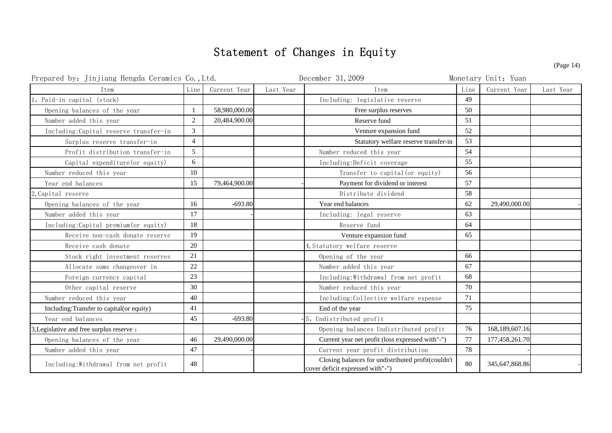## Statement of Changes in Equity

| Prepared by: Jinjiang Hengda Ceramics Co., Ltd. |                |               | December 31, 2009 |                                                                                        | Monetary Unit: Yuan |                |           |
|-------------------------------------------------|----------------|---------------|-------------------|----------------------------------------------------------------------------------------|---------------------|----------------|-----------|
| Item                                            | Line           | Current Year  | Last Year         | Item                                                                                   | Line                | Current Year   | Last Year |
| 1, Paid-in capital (stock)                      |                |               |                   | Including: legislative reserve                                                         | 49                  |                |           |
| Opening balances of the year                    | $\mathbf{1}$   | 58,980,000.00 |                   | Free surplus reserves                                                                  | 50                  |                |           |
| Number added this year                          | 2              | 20,484,900.00 |                   | Reserve fund                                                                           | 51                  |                |           |
| Including:Capital reserve transfer-in           | 3              |               |                   | Venture expansion fund                                                                 | 52                  |                |           |
| Surplus reserve transfer-in                     | $\overline{4}$ |               |                   | Statutory welfare reserve transfer-in                                                  | 53                  |                |           |
| Profit distribution transfer-in                 | 5 <sup>5</sup> |               |                   | Number reduced this year                                                               | 54                  |                |           |
| Capital expenditure (or equity)                 | 6              |               |                   | Including:Deficit coverage                                                             | 55                  |                |           |
| Number reduced this year                        | 10             |               |                   | Transfer to capital (or equity)                                                        | 56                  |                |           |
| Year end balances                               | 15             | 79,464,900.00 |                   | Payment for dividend or interest                                                       | 57                  |                |           |
| 2, Capital reserve                              |                |               |                   | Distribute dividend                                                                    | 58                  |                |           |
| Opening balances of the year                    | 16             | $-693.80$     |                   | Year end balances                                                                      | 62                  | 29,490,000.00  |           |
| Number added this year                          | 17             |               |                   | Including: legal reserve                                                               | 63                  |                |           |
| Including:Capital premium (or equity)           | 18             |               |                   | Reserve fund                                                                           | 64                  |                |           |
| Receive non-cash donate reserve                 | 19             |               |                   | Venture expansion fund                                                                 | 65                  |                |           |
| Receive cash donate                             | 20             |               |                   | 4, Statutory welfare reserve                                                           |                     |                |           |
| Stock right investment reserves                 | 21             |               |                   | Opening of the year                                                                    | 66                  |                |           |
| Allocate sums changeover in                     | 22             |               |                   | Number added this year                                                                 | 67                  |                |           |
| Foreign currency capital                        | 23             |               |                   | Including: Withdrawal from net profit                                                  | 68                  |                |           |
| Other capital reserve                           | 30             |               |                   | Number reduced this year                                                               | 70                  |                |           |
| Number reduced this year                        | 40             |               |                   | Including:Collective welfare expense                                                   | 71                  |                |           |
| Including: Transfer to capital (or equity)      | 41             |               |                   | End of the year                                                                        | 75                  |                |           |
| Year end balances                               | 45             | $-693.80$     |                   | 5, Undistributed profit                                                                |                     |                |           |
| 3, Legislative and free surplus reserve :       |                |               |                   | Opening balances Undistributed profit                                                  | 76                  | 168,189,607.16 |           |
| Opening balances of the year                    | 46             | 29,490,000.00 |                   | Current year net profit (loss expressed with"-")                                       | 77                  | 177,458,261.70 |           |
| Number added this year                          | 47             |               |                   | Current year profit distribution                                                       | 78                  |                |           |
| Including: Withdrawal from net profit           | 48             |               |                   | Closing balances for undistributed profit(couldn't<br>cover deficit expressed with"-") | 80                  | 345,647,868.86 |           |

(Page 14)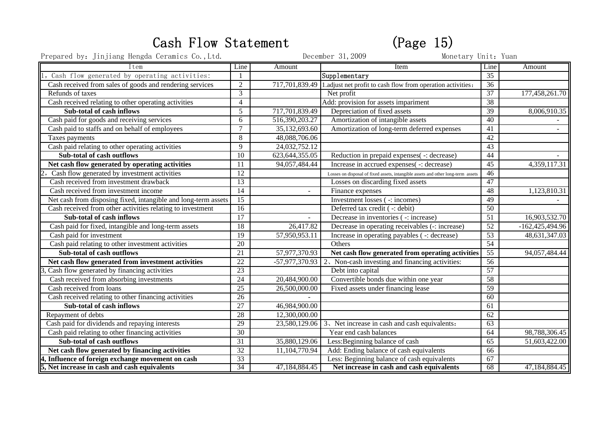# Cash Flow Statement (Page 15)

Prepared by: Jinjiang Hengda Ceramics Co.,Ltd. December 31, 2009 Monetary Unit: Yuan

| Item                                                           | Line            | Amount            | Item                                                                             | Line            | Amount            |
|----------------------------------------------------------------|-----------------|-------------------|----------------------------------------------------------------------------------|-----------------|-------------------|
| Cash flow generated by operating activities:                   |                 |                   | Supplementary                                                                    | 35              |                   |
| Cash received from sales of goods and rendering services       | $\overline{2}$  | 717,701,839.49    | 1.adjust net profit to cash flow from operation activities:                      | 36              |                   |
| Refunds of taxes                                               | 3               |                   | Net profit                                                                       | $\overline{37}$ | 177,458,261.70    |
| Cash received relating to other operating activities           | $\overline{4}$  |                   | Add: provision for assets impariment                                             | $\overline{38}$ |                   |
| Sub-total of cash inflows                                      | $\overline{5}$  | 717,701,839.49    | Depreciation of fixed assets                                                     | $\overline{39}$ | 8,006,910.35      |
| Cash paid for goods and receiving services                     | 6               | 516,390,203.27    | Amortization of intangible assets                                                | 40              |                   |
| Cash paid to staffs and on behalf of employees                 | $7\phantom{.0}$ | 35,132,693.60     | Amortization of long-term deferred expenses                                      | 41              |                   |
| Taxes payments                                                 | 8               | 48,088,706.06     |                                                                                  | 42              |                   |
| Cash paid relating to other operating activities               | 9               | 24,032,752.12     |                                                                                  | 43              |                   |
| <b>Sub-total of cash outflows</b>                              | $\overline{10}$ | 623, 644, 355. 05 | Reduction in prepaid expenses( -: decrease)                                      | 44              |                   |
| Net cash flow generated by operating activities                | 11              | 94, 057, 484. 44  | Increase in accrued expenses( -: decrease)                                       | 45              | 4,359,117.31      |
| Cash flow generated by investment activities                   | $\overline{12}$ |                   | Losses on disposal of fixed assets, intangible assets and other long-term assets | 46              |                   |
| Cash received from investment drawback                         | $\overline{13}$ |                   | Losses on discarding fixed assets                                                | 47              |                   |
| Cash received from investment income                           | 14              |                   | Finance expenses                                                                 | 48              | 1,123,810.31      |
| Net cash from disposing fixed, intangible and long-term assets | $\overline{15}$ |                   | Investment losses ( -: incomes)                                                  | 49              |                   |
| Cash received from other activities relating to investment     | $\overline{16}$ |                   | Deferred tax credit ( -: debit)                                                  | $\overline{50}$ |                   |
| <b>Sub-total of cash inflows</b>                               | 17              | $\sim$            | Decrease in inventories ( -: increase)                                           | $\overline{51}$ | 16,903,532.70     |
| Cash paid for fixed, intangible and long-term assets           | 18              | 26,417.82         | Decrease in operating receivables (-: increase)                                  | 52              | $-162,425,494.96$ |
| Cash paid for investment                                       | 19              | 57,950,953.11     | Increase in operating payables ( -: decrease)                                    | $\overline{53}$ | 48,631,347.03     |
| Cash paid relating to other investment activities              | $\overline{20}$ |                   | Others                                                                           | 54              |                   |
| Sub-total of cash outflows                                     | 21              | 57,977,370.93     | Net cash flow generated from operating activities                                | 55              | 94,057,484.44     |
| Net cash flow generated from investment activities             | $\overline{22}$ | $-57,977,370.93$  | 2. Non-cash investing and financing activities:                                  | $\overline{56}$ |                   |
| Cash flow generated by financing activities                    | $\overline{23}$ |                   | Debt into capital                                                                | 57              |                   |
| Cash received from absorbing investments                       | $\overline{24}$ | 20,484,900.00     | Convertible bonds due within one year                                            | $\overline{58}$ |                   |
| Cash received from loans                                       | $\overline{25}$ | 26,500,000.00     | Fixed assets under financing lease                                               | 59              |                   |
| Cash received relating to other financing activities           | $\overline{26}$ |                   |                                                                                  | 60              |                   |
| Sub-total of cash inflows                                      | $\overline{27}$ | 46,984,900.00     |                                                                                  | 61              |                   |
| Repayment of debts                                             | 28              | 12,300,000.00     |                                                                                  | 62              |                   |
| Cash paid for dividends and repaying interests                 | 29              | 23,580,129.06     | 3. Net increase in cash and cash equivalents:                                    | $\overline{63}$ |                   |
| Cash paid relating to other financing activities               | $\overline{30}$ |                   | Year end cash balances                                                           | 64              | 98,788,306.45     |
| <b>Sub-total of cash outflows</b>                              | $\overline{31}$ | 35,880,129.06     | Less: Beginning balance of cash                                                  | 65              | 51,603,422.00     |
| Net cash flow generated by financing activities                | $\overline{32}$ | 11,104,770.94     | Add: Ending balance of cash equivalents                                          | 66              |                   |
| , Influence of foreign exchange movement on cash               | 33              |                   | Less: Beginning balance of cash equivalents                                      | $\overline{67}$ |                   |
| 5, Net increase in cash and cash equivalents                   | 34              | 47,184,884.45     | Net increase in cash and cash equivalents                                        | 68              | 47, 184, 884. 45  |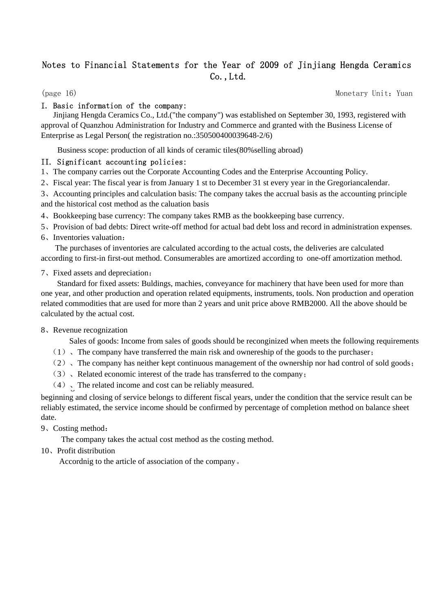## Notes to Financial Statements for the Year of 2009 of Jinjiang Hengda Ceramics Co.,Ltd.

(page 16) Monetary Unit: Yuan

#### I. Basic information of the company:

 Jinjiang Hengda Ceramics Co., Ltd.("the company") was established on September 30, 1993, registered with approval of Quanzhou Administration for Industry and Commerce and granted with the Business License of Enterprise as Legal Person( the registration no.:350500400039648-2/6)

Business scope: production of all kinds of ceramic tiles(80%selling abroad)

#### II. Significant accounting policies:

1、The company carries out the Corporate Accounting Codes and the Enterprise Accounting Policy.

2、Fiscal year: The fiscal year is from January 1 st to December 31 st every year in the Gregoriancalendar.

3、Accounting principles and calculation basis: The company takes the accrual basis as the accounting principle and the historical cost method as the caluation basis

- 4、Bookkeeping base currency: The company takes RMB as the bookkeeping base currency.
- 5、Provision of bad debts: Direct write-off method for actual bad debt loss and record in administration expenses.
- 6、Inventories valuation:

 The purchases of inventories are calculated according to the actual costs, the deliveries are calculated according to first-in first-out method. Consumerables are amortized according to one-off amortization method.

#### 7、Fixed assets and depreciation:

 Standard for fixed assets: Buldings, machies, conveyance for machinery that have been used for more than one year, and other production and operation related equipments, instruments, tools. Non production and operation related commodities that are used for more than 2 years and unit price above RMB2000. All the above should be calculated by the actual cost.

#### 8、Revenue recognization

Sales of goods: Income from sales of goods should be reconginized when meets the following requirements

- $(1)$ , The company have transferred the main risk and ownereship of the goods to the purchaser;
- (2)、The company has neither kept continuous management of the ownership nor had control of sold goods;
- (3)、Related economic interest of the trade has transferred to the company;
- $(4)$  The related income and cost can be reliably measured.

beginning and closing of service belongs to different fiscal years, under the condition that the service result can be reliably estimated, the service income should be confirmed by percentage of completion method on balance sheet date.

9、Costing method:

The company takes the actual cost method as the costing method.

10、Profit distribution

Accordnig to the article of association of the company。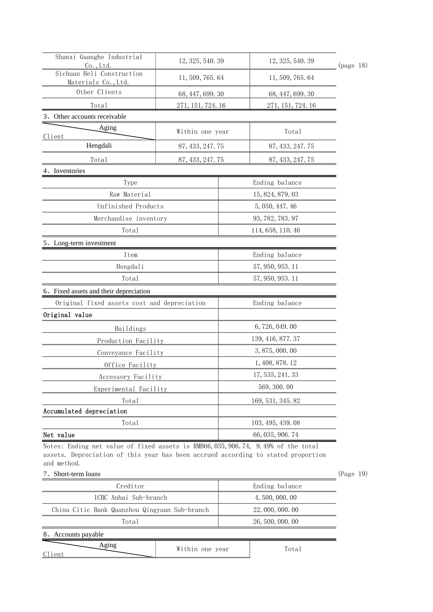| Shanxi Guanghe Industrial<br>12, 325, 540. 39 |                   | 12, 325, 540. 39  |           |  |
|-----------------------------------------------|-------------------|-------------------|-----------|--|
| $Co.$ , Ltd.<br>Sichuan Heli Construction     |                   |                   | (page 18) |  |
| Materials Co., Ltd.                           | 11, 509, 765. 64  | 11, 509, 765. 64  |           |  |
| Other Clients                                 | 68, 447, 699. 30  | 68, 447, 699. 30  |           |  |
| Total                                         | 271, 151, 724. 16 | 271, 151, 724. 16 |           |  |
| 3. Other accounts receivable                  |                   |                   |           |  |
| Aging<br>Client                               | Within one year   | Total             |           |  |
| Hengdali                                      | 87, 433, 247. 75  | 87, 433, 247. 75  |           |  |
| Total                                         | 87, 433, 247. 75  | 87, 433, 247. 75  |           |  |
| 4. Inventories                                |                   |                   |           |  |
| Type                                          |                   | Ending balance    |           |  |
| Raw Material                                  |                   | 15, 824, 879. 03  |           |  |
| Unfinished Products                           |                   | 5, 050, 447. 46   |           |  |
| Merchandise inventorv                         |                   | 93, 782, 783. 97  |           |  |
| Total                                         |                   | 114, 658, 110.46  |           |  |
| 5. Long-term investment                       |                   |                   |           |  |
| Item                                          |                   | Ending balance    |           |  |
| Hengdali                                      |                   | 57, 950, 953. 11  |           |  |
| Total                                         |                   | 57, 950, 953. 11  |           |  |
| 6. Fixed assets and their depreciation        |                   |                   |           |  |
| Original fixed assets cost and depreciation   |                   | Ending balance    |           |  |
| Original value                                |                   |                   |           |  |
| Buildings                                     |                   | 6,726,049.00      |           |  |
| Production Facility                           |                   | 139, 416, 877. 37 |           |  |
| Conveyance Facility                           |                   | 3,875,000.00      |           |  |
| Office Facility                               |                   | 1, 408, 878. 12   |           |  |
| Accessory Facility                            |                   | 17, 535, 241. 33  |           |  |
| Experimental Facility                         |                   | 569, 300, 00      |           |  |
| Total                                         |                   | 169, 531, 345. 82 |           |  |
| Accumulated depreciation                      |                   |                   |           |  |
| Total                                         |                   | 103, 495, 439.08  |           |  |
| Net value                                     |                   | 66, 035, 906. 74  |           |  |

Notes: Ending net value of fixed assets is RMB66,035,906.74, 9.49% of the total assets. Depreciation of this year has been accrued according to stated proportion and method.

#### 7、Short-term loans (Page 19)

| Creditor                                      | Ending balance   |  |  |  |  |
|-----------------------------------------------|------------------|--|--|--|--|
| ICBC Anhai Sub-branch                         | 4, 500, 000, 00  |  |  |  |  |
| China Citic Bank Quanzhou Qingyuan Sub-branch | 22, 000, 000, 00 |  |  |  |  |
| Total                                         | 26, 500, 000, 00 |  |  |  |  |
| 8. Accounts payable                           |                  |  |  |  |  |
| Within one year<br>`lient                     | Total            |  |  |  |  |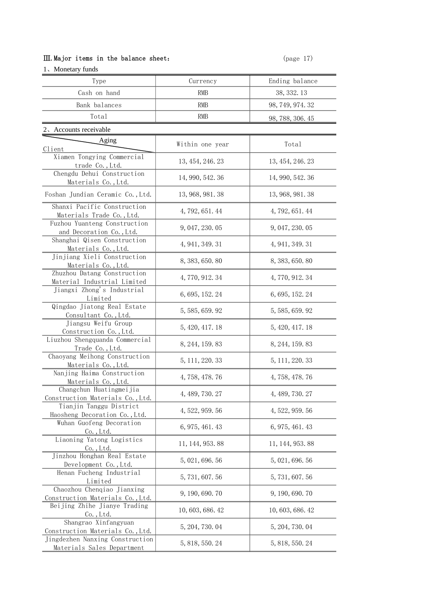#### Ⅲ.Major items in the balance sheet: (page 17)

| 1. Monetary funds                                                                                        |                  |                  |
|----------------------------------------------------------------------------------------------------------|------------------|------------------|
| Type                                                                                                     | Currency         | Ending balance   |
| Cash on hand                                                                                             | RMB              | 38, 332. 13      |
| Bank balances                                                                                            | RMB              | 98, 749, 974. 32 |
| Total                                                                                                    | RMB              | 98, 788, 306. 45 |
| 2. Accounts receivable                                                                                   |                  |                  |
| Aging                                                                                                    |                  |                  |
| Client                                                                                                   | Within one year  | Total            |
| Xiamen Tongying Commercial<br>trade Co., Ltd.                                                            | 13, 454, 246. 23 | 13, 454, 246. 23 |
| Chengdu Dehui Construction<br>Materials Co., Ltd.                                                        | 14, 990, 542. 36 | 14, 990, 542. 36 |
| Foshan Jundian Ceramic Co., Ltd.                                                                         | 13, 968, 981, 38 | 13, 968, 981, 38 |
| Shanxi Pacific Construction<br>Materials Trade Co., Ltd.                                                 | 4, 792, 651.44   | 4, 792, 651. 44  |
| Fuzhou Yuanteng Construction<br>and Decoration Co., Ltd.                                                 | 9, 047, 230, 05  | 9, 047, 230, 05  |
| Shanghai Qisen Construction<br>Materials Co., Ltd.                                                       | 4, 941, 349. 31  | 4, 941, 349. 31  |
| Jinjiang Xieli Construction<br>Materials Co., Ltd.                                                       | 8, 383, 650. 80  | 8, 383, 650. 80  |
| Zhuzhou Datang Construction<br>Material Industrial Limited                                               | 4, 770, 912. 34  | 4, 770, 912. 34  |
| Jiangxi Zhong's Industrial<br>Limited                                                                    | 6, 695, 152, 24  | 6, 695, 152, 24  |
| Qingdao Jiatong Real Estate<br>Consultant Co., Ltd.                                                      | 5, 585, 659. 92  | 5, 585, 659. 92  |
| Jiangsu Weifu Group<br>Construction Co., Ltd.                                                            | 5, 420, 417. 18  | 5, 420, 417. 18  |
| Liuzhou Shengquanda Commercial<br>Trade Co., Ltd.                                                        | 8, 244, 159. 83  | 8, 244, 159. 83  |
| Chaoyang Meihong Construction<br>Materials Co., Ltd.                                                     | 5, 111, 220. 33  | 5, 111, 220, 33  |
| Nanjing Haima Construction<br>Materials Co., Ltd.                                                        | 4, 758, 478. 76  | 4, 758, 478. 76  |
| Changchun Huatingmeijia<br>Construction Materials Co., Ltd.                                              | 4, 489, 730, 27  | 4, 489, 730, 27  |
| Tianjin Tanggu District<br>Haosheng Decoration Co., Ltd.                                                 | 4, 522, 959. 56  | 4, 522, 959. 56  |
| Wuhan Guofeng Decoration<br>$Co.$ , Ltd.                                                                 | 6, 975, 461. 43  | 6, 975, 461. 43  |
| Liaoning Yatong Logistics<br>$\mathbb{C}^{\mathsf{o}}$ ., Ltd.<br>,,,,,,,,,,,,,,,,,,,,,,,,,,,,,,,,,,,,,, | 11, 144, 953. 88 | 11, 144, 953. 88 |
| Jinzhou Honghan Real Estate<br>Development Co., Ltd.                                                     | 5, 021, 696, 56  | 5, 021, 696. 56  |
| Henan Fucheng Industrial<br>Limited                                                                      | 5, 731, 607. 56  | 5,731,607.56     |
| Chaozhou Chenqiao Jianxing<br>Construction Materials Co., Ltd.                                           | 9, 190, 690, 70  | 9, 190, 690. 70  |
| Beijing Zhihe Jianye Trading<br>Co., Ltd.                                                                | 10, 603, 686. 42 | 10, 603, 686. 42 |
| Shangrao Xinfangyuan<br>Construction Materials Co., Ltd.                                                 | 5, 204, 730, 04  | 5, 204, 730, 04  |
| Jingdezhen Nanxing Construction<br>Materials Sales Department                                            | 5, 818, 550, 24  | 5, 818, 550, 24  |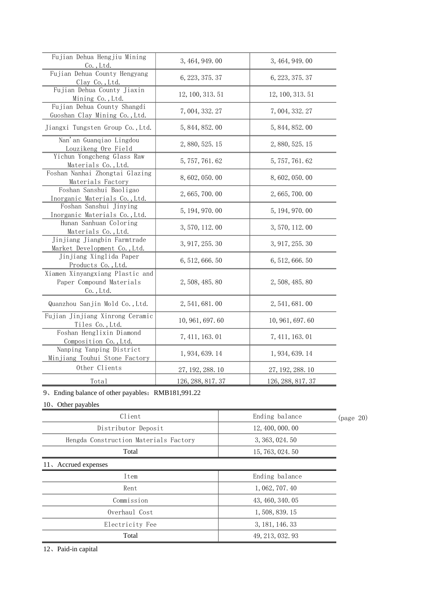| Fujian Dehua Hengjiu Mining<br>$\underline{\begin{array}{c}Co.,Ltd.\end{array}}$ | 3, 464, 949. 00     | 3, 464, 949. 00  |
|----------------------------------------------------------------------------------|---------------------|------------------|
| Fujian Dehua County Hengyang<br>$\frac{Clay\ Co., Ltd.}{Cla}$                    | 6, 223, 375, 37     | 6, 223, 375, 37  |
| Fujian Dehua County Jiaxin<br>Mining Co., Ltd.                                   | 12, 100, 313. 51    | 12, 100, 313. 51 |
| Fujian Dehua County Shangdi<br>Guoshan Clay Mining Co., Ltd.                     | 7,004,332.27        | 7, 004, 332. 27  |
| Jiangxi Tungsten Group Co., Ltd.                                                 | 5, 844, 852, 00     | 5, 844, 852. 00  |
| Nan'an Guangiao Lingdou<br>Louzikeng Ore Field                                   | 2, 880, 525. 15     | 2, 880, 525. 15  |
| Yichun Yongcheng Glass Raw<br>Materials Co., Ltd.                                | 5, 757, 761, 62     | 5, 757, 761, 62  |
| Foshan Nanhai Zhongtai Glazing<br>Materials Factory                              | 8,602,050.00        | 8, 602, 050, 00  |
| Foshan Sanshui Baoligao<br>Inorganic Materials Co., Ltd.                         | 2, 665, 700, 00<br> | 2, 665, 700. 00  |
| Foshan Sanshui Jinying<br>Inorganic Materials Co., Ltd.                          | 5, 194, 970. 00     | 5, 194, 970. 00  |
| Hunan Sanhuan Coloring<br>Materials Co., Ltd.                                    | 3, 570, 112.00      | 3, 570, 112.00   |
| Jinjiang Jiangbin Farmtrade<br>Market Development Co., Ltd.                      | 3, 917, 255. 30     | 3, 917, 255. 30  |
| Jinjiang Xinglida Paper<br>Products Co., Ltd.                                    | 6, 512, 666. 50     | 6, 512, 666. 50  |
| Xiamen Xinyangxiang Plastic and<br>Paper Compound Materials<br>Co., Ltd.         | 2, 508, 485, 80     | 2, 508, 485. 80  |
| Quanzhou Sanjin Mold Co., Ltd.                                                   | 2, 541, 681, 00     | 2, 541, 681, 00  |
| Fujian Jinjiang Xinrong Ceramic<br>Tiles Co., Ltd.                               | 10, 961, 697. 60    | 10, 961, 697. 60 |
| Foshan Henglixin Diamond<br>Composition Co., Ltd.                                | 7, 411, 163. 01     | 7, 411, 163. 01  |
| Nanping Yanping District<br>Minjiang Touhui Stone Factory                        | 1, 934, 639, 14     | 1, 934, 639, 14  |
| Other Clients                                                                    | 27, 192, 288. 10    | 27, 192, 288. 10 |
| Total                                                                            | 126, 288, 817.37    | 126, 288, 817.37 |

9、Ending balance of other payables: RMB181,991.22

10、Other payables

| Client                                | Ending balance   | nage |
|---------------------------------------|------------------|------|
| Distributor Deposit                   | 12, 400, 000, 00 |      |
| Hengda Construction Materials Factory | 3, 363, 024. 50  |      |
| Total                                 | 15, 763, 024, 50 |      |
| 11. Accrued expenses                  |                  |      |
| Item                                  | Ending balance   |      |
| Rent                                  | 1, 062, 707. 40  |      |
| Commission                            | 43, 460, 340, 05 |      |
| Overhaul Cost                         | 1, 508, 839, 15  |      |
| Electricity Fee                       | 3, 181, 146, 33  |      |
| Total                                 | 49, 213, 032, 93 |      |

20)

12、Paid-in capital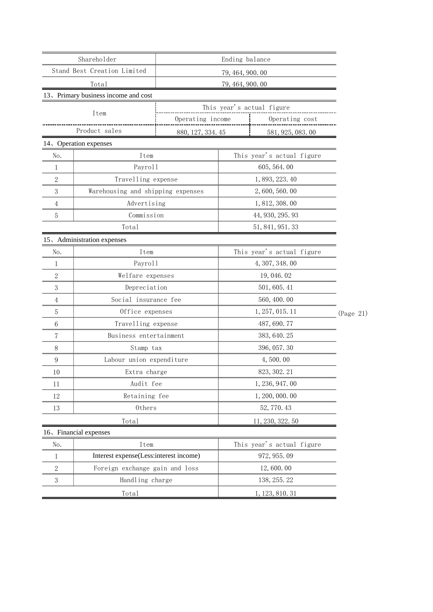|                                         | Shareholder                            |                   |                  | Ending balance                                |           |  |
|-----------------------------------------|----------------------------------------|-------------------|------------------|-----------------------------------------------|-----------|--|
| Stand Best Creation Limited             |                                        | 79, 464, 900, 00  |                  |                                               |           |  |
| Total                                   |                                        |                   | 79, 464, 900. 00 |                                               |           |  |
|                                         | 13. Primary business income and cost   |                   |                  |                                               |           |  |
|                                         | Item                                   |                   |                  | This year's actual figure                     |           |  |
|                                         |                                        | Operating income  |                  | Operating cost                                |           |  |
|                                         | Product sales                          | 880, 127, 334. 45 |                  | 581, 925, 083.00                              |           |  |
|                                         | 14、Operation expenses                  |                   |                  |                                               |           |  |
| No.                                     | Item                                   |                   |                  | This year's actual figure                     |           |  |
| 1                                       | Payroll                                |                   |                  | 605, 564. 00                                  |           |  |
| $\overline{2}$                          |                                        |                   |                  |                                               |           |  |
| 3                                       | Warehousing and shipping expenses      |                   |                  | 2, 600, 560, 00                               |           |  |
| 4                                       | Advertising                            |                   |                  | 1, 812, 308.00                                |           |  |
| 5                                       | Commission                             |                   |                  | 44, 930, 295. 93                              |           |  |
|                                         | Total                                  |                   |                  | 51, 841, 951. 33                              |           |  |
|                                         | 15. Administration expenses            |                   |                  |                                               |           |  |
| No.<br>,,,,,,,,,,,,,,,,,,,,,,,,,,,,,,,, | Item                                   |                   |                  | ┆<br><sub>┇┉┉┉┉┉┉┉┉┉┉┉┉┉┉┉┉┉┉┉┉┉┉┉┉┉┉┉┉</sub> |           |  |
| 1                                       | Payroll                                |                   |                  | 4, 307, 348.00                                |           |  |
| 2                                       | Welfare expenses                       |                   |                  | 19, 046. 02                                   |           |  |
| 3                                       | Depreciation                           |                   |                  | 501, 605.41                                   |           |  |
| 4                                       | Social insurance fee                   |                   |                  | 560, 400.00                                   |           |  |
| 5                                       | Office expenses                        |                   |                  | 1, 257, 015. 11                               | (Page 21) |  |
| 6                                       | Travelling expense                     |                   |                  | 487, 690. 77                                  |           |  |
|                                         | Business entertainment                 |                   |                  | 383, 640. 25                                  |           |  |
| 8                                       | Stamp tax                              |                   |                  | 396, 057.30                                   |           |  |
| 9                                       | Labour union expenditure               |                   |                  | 4,500.00                                      |           |  |
| 10                                      | Extra charge                           |                   |                  | 823, 302. 21                                  |           |  |
| 11                                      | Audit fee                              |                   |                  | 1, 236, 947.00                                |           |  |
| 12<br>                                  | Retaining fee                          |                   |                  | 1, 200, 000. 00                               |           |  |
| 13                                      | Others                                 |                   |                  | 52, 770. 43                                   |           |  |
|                                         | Total                                  |                   |                  | 11, 230, 322. 50                              |           |  |
|                                         | 16. Financial expenses                 |                   |                  |                                               |           |  |
| No.                                     | Item                                   |                   |                  | This year's actual figure                     |           |  |
|                                         | Interest expense(Less:interest income) |                   |                  | 972, 955.09                                   |           |  |
| 2                                       | Foreign exchange gain and loss         |                   |                  | 12,600.00                                     |           |  |
| 3                                       | Handling charge                        |                   |                  | 138, 255. 22                                  |           |  |
|                                         | Total                                  |                   |                  | 1, 123, 810. 31                               |           |  |